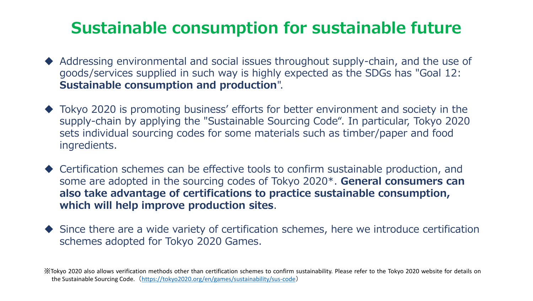## **Sustainable consumption for sustainable future**

- ◆ Addressing environmental and social issues throughout supply-chain, and the use of goods/services supplied in such way is highly expected as the SDGs has "Goal 12: **Sustainable consumption and production**".
- ◆ Tokyo 2020 is promoting business' efforts for better environment and society in the supply-chain by applying the "Sustainable Sourcing Code". In particular, Tokyo 2020 sets individual sourcing codes for some materials such as timber/paper and food ingredients.
- ◆ Certification schemes can be effective tools to confirm sustainable production, and some are adopted in the sourcing codes of Tokyo 2020\*. **General consumers can also take advantage of certifications to practice sustainable consumption, which will help improve production sites**.
- ◆ Since there are a wide variety of certification schemes, here we introduce certification schemes adopted for Tokyo 2020 Games.

※Tokyo 2020 also allows verification methods other than certification schemes to confirm sustainability. Please refer to the Tokyo 2020 website for details on the Sustainable Sourcing Code.(<https://tokyo2020.org/en/games/sustainability/sus-code>)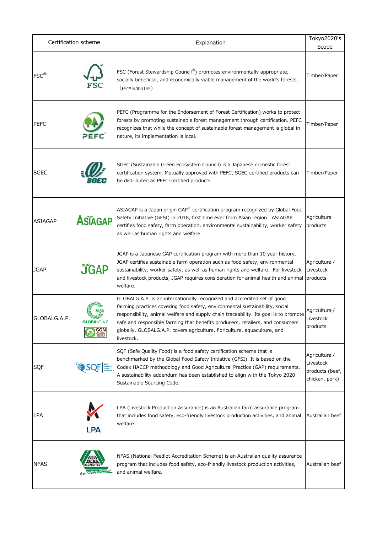| Certification scheme |                                   | Explanation                                                                                                                                                                                                                                                                                                                                                                                                                   | Tokyo2020's                                                     |
|----------------------|-----------------------------------|-------------------------------------------------------------------------------------------------------------------------------------------------------------------------------------------------------------------------------------------------------------------------------------------------------------------------------------------------------------------------------------------------------------------------------|-----------------------------------------------------------------|
| $FSC^{\circledR}$    |                                   | FSC (Forest Stewardship Council®) promotes environmentally appropriate,<br>socially beneficial, and economically viable management of the world's forests.<br>(FSC <sup>®</sup> N003155)                                                                                                                                                                                                                                      | Scope<br>Timber/Paper                                           |
| <b>PEFC</b>          |                                   | PEFC (Programme for the Endorsement of Forest Certification) works to protect<br>forests by promoting sustainable forest management through certification. PEFC<br>recognizes that while the concept of sustainable forest management is global in<br>nature, its implementation is local.                                                                                                                                    | Timber/Paper                                                    |
| <b>SGEC</b>          |                                   | SGEC (Sustainable Green Ecosystem Council) is a Japanese domestic forest<br>certification system. Mutually approved with PEFC, SGEC-certified products can<br>be distributed as PEFC-certified products.                                                                                                                                                                                                                      | Timber/Paper                                                    |
| <b>ASIAGAP</b>       | Asiagap                           | ASIAGAP is a Japan origin GAP <sup>**</sup> certification program recognized by Global Food<br>Safety Initiative (GFSI) in 2018, first time ever from Asian region. ASIAGAP<br>certifies food safety, farm operation, environmental sustainability, worker safety<br>as well as human rights and welfare.                                                                                                                     | Agricultural<br>products                                        |
| <b>JGAP</b>          | <b>JGAP</b>                       | JGAP is a Japanese GAP certification program with more than 10 year history.<br>JGAP certifies sustainable farm operation such as food safety, environmental<br>sustainability, worker safety, as well as human rights and welfare. For livestock<br>and livestock products, JGAP requires consideration for animal health and animal<br>welfare.                                                                             | Agricultural/<br>Livestock<br>products                          |
| GLOBALG.A.P.         | <b>GLOBALG.A.P.</b><br><b>GGN</b> | GLOBALG.A.P. is an internationally recognized and accredited set of good<br>farming practices covering food safety, environmental sustainability, social<br>responsibility, animal welfare and supply chain traceability. Its goal is to promote<br>safe and responsible farming that benefits producers, retailers, and consumers<br>globally. GLOBALG.A.P. covers agriculture, floriculture, aquaculture, and<br>livestock. | Agricultural/<br>Livestock<br>products                          |
| SQF                  | SQF                               | SQF (Safe Quality Food) is a food safety certification scheme that is<br>benchmarked by the Global Food Safety Initiative (GFSI). It is based on the<br>Codex HACCP methodology and Good Agricultural Practice (GAP) requirements.<br>A sustainability addendum has been established to align with the Tokyo 2020<br>Sustainable Sourcing Code.                                                                               | Agricultural/<br>Livestock<br>products (beef,<br>chicken, pork) |
| <b>LPA</b>           | <b>LPA</b>                        | LPA (Livestock Production Assurance) is an Australian farm assurance program<br>that includes food safety, eco-friendly livestock production activities, and animal<br>welfare.                                                                                                                                                                                                                                               | Australian beef                                                 |
| <b>NFAS</b>          |                                   | NFAS (National Feedlot Accreditation Scheme) is an Australian quality assurance<br>program that includes food safety, eco-friendly livestock production activities,<br>and animal welfare.                                                                                                                                                                                                                                    | Australian beef                                                 |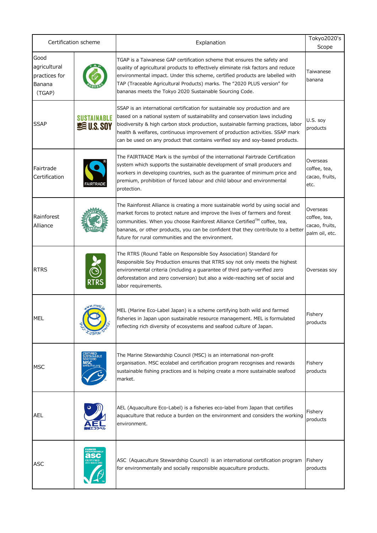| Certification scheme                                      |                                          | Explanation                                                                                                                                                                                                                                                                                                                                                                                                          | Tokyo2020's<br>Scope                                         |
|-----------------------------------------------------------|------------------------------------------|----------------------------------------------------------------------------------------------------------------------------------------------------------------------------------------------------------------------------------------------------------------------------------------------------------------------------------------------------------------------------------------------------------------------|--------------------------------------------------------------|
| Good<br>agricultural<br>practices for<br>Banana<br>(TGAP) |                                          | TGAP is a Taiwanese GAP certification scheme that ensures the safety and<br>quality of agricultural products to effectively eliminate risk factors and reduce<br>environmental impact. Under this scheme, certified products are labelled with<br>TAP (Traceable Agricultural Products) marks. The "2020 PLUS version" for<br>bananas meets the Tokyo 2020 Sustainable Sourcing Code.                                | Taiwanese<br>banana                                          |
| <b>SSAP</b>                                               | <b>SUSTAINABLE</b><br><b>SE U.S. SOY</b> | SSAP is an international certification for sustainable soy production and are<br>based on a national system of sustainability and conservation laws including<br>biodiversity & high carbon stock production, sustainable farming practices, labor<br>health & welfares, continuous improvement of production activities. SSAP mark<br>can be used on any product that contains verified soy and soy-based products. | U.S. soy<br>products                                         |
| Fairtrade<br>Certification                                | <b>FAIRTRADE</b>                         | The FAIRTRADE Mark is the symbol of the international Fairtrade Certification<br>system which supports the sustainable development of small producers and<br>workers in developing countries, such as the guarantee of minimum price and<br>premium, prohibition of forced labour and child labour and environmental<br>protection.                                                                                  | Overseas<br>coffee, tea,<br>cacao, fruits,<br>etc.           |
| Rainforest<br>Alliance                                    |                                          | The Rainforest Alliance is creating a more sustainable world by using social and<br>market forces to protect nature and improve the lives of farmers and forest<br>communities. When you choose Rainforest Alliance Certified™ coffee, tea,<br>bananas, or other products, you can be confident that they contribute to a better<br>future for rural communities and the environment.                                | Overseas<br>coffee, tea,<br>cacao, fruits,<br>palm oil, etc. |
| <b>RTRS</b>                                               |                                          | The RTRS (Round Table on Responsible Soy Association) Standard for<br>Responsible Soy Production ensures that RTRS soy not only meets the highest<br>environmental criteria (including a guarantee of third party-verified zero<br>deforestation and zero conversion) but also a wide-reaching set of social and<br>labor requirements.                                                                              | Overseas soy                                                 |
| MEL                                                       |                                          | MEL (Marine Eco-Label Japan) is a scheme certifying both wild and farmed<br>fisheries in Japan upon sustainable resource management. MEL is formulated<br>reflecting rich diversity of ecosystems and seafood culture of Japan.                                                                                                                                                                                      | Fishery<br>products                                          |
| <b>MSC</b>                                                | <b>TAINABLE</b><br>EAFOOD                | The Marine Stewardship Council (MSC) is an international non-profit<br>organisation. MSC ecolabel and certification program recognises and rewards<br>sustainable fishing practices and is helping create a more sustainable seafood<br>market.                                                                                                                                                                      | Fishery<br>products                                          |
| AEL                                                       |                                          | AEL (Aquaculture Eco-Label) is a fisheries eco-label from Japan that certifies<br>aquaculture that reduce a burden on the environment and considers the working<br>environment.                                                                                                                                                                                                                                      | Fishery<br>products                                          |
| <b>ASC</b>                                                |                                          | ASC (Aquaculture Stewardship Council) is an international certification program<br>for environmentally and socially responsible aquaculture products.                                                                                                                                                                                                                                                                | Fishery<br>products                                          |